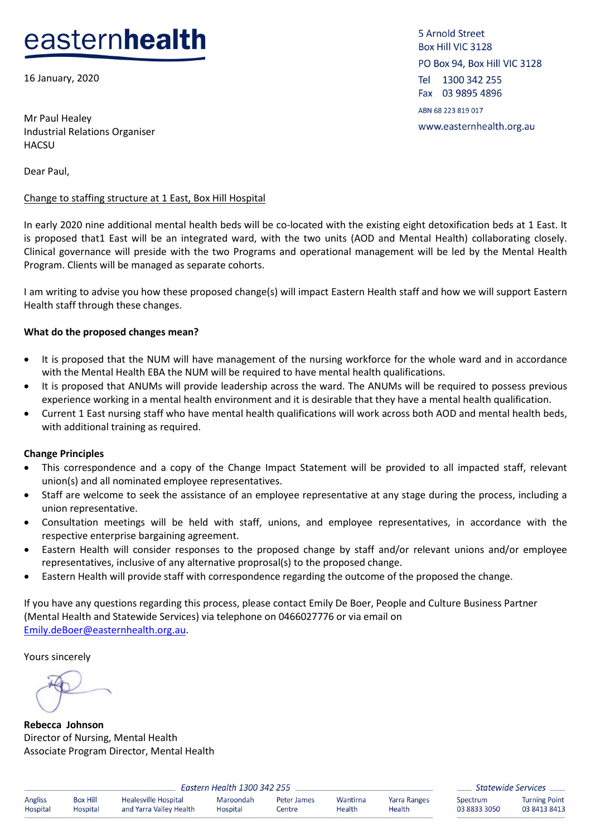# easternhealth

16 January, 2020

Mr Paul Healey Industrial Relations Organiser **HACSU** 

Dear Paul,

#### Change to staffing structure at 1 East, Box Hill Hospital

In early 2020 nine additional mental health beds will be co-located with the existing eight detoxification beds at 1 East. It is proposed that1 East will be an integrated ward, with the two units (AOD and Mental Health) collaborating closely. Clinical governance will preside with the two Programs and operational management will be led by the Mental Health Program. Clients will be managed as separate cohorts.

I am writing to advise you how these proposed change(s) will impact Eastern Health staff and how we will support Eastern Health staff through these changes.

#### **What do the proposed changes mean?**

- It is proposed that the NUM will have management of the nursing workforce for the whole ward and in accordance with the Mental Health EBA the NUM will be required to have mental health qualifications.
- It is proposed that ANUMs will provide leadership across the ward. The ANUMs will be required to possess previous experience working in a mental health environment and it is desirable that they have a mental health qualification.
- Current 1 East nursing staff who have mental health qualifications will work across both AOD and mental health beds, with additional training as required.

#### **Change Principles**

- This correspondence and a copy of the Change Impact Statement will be provided to all impacted staff, relevant union(s) and all nominated employee representatives.
- Staff are welcome to seek the assistance of an employee representative at any stage during the process, including a union representative.
- Consultation meetings will be held with staff, unions, and employee representatives, in accordance with the respective enterprise bargaining agreement.
- Eastern Health will consider responses to the proposed change by staff and/or relevant unions and/or employee representatives, inclusive of any alternative proprosal(s) to the proposed change.
- Eastern Health will provide staff with correspondence regarding the outcome of the proposed the change.

If you have any questions regarding this process, please contact Emily De Boer, People and Culture Business Partner (Mental Health and Statewide Services) via telephone on 0466027776 or via email on [Emily.deBoer@easternhealth.org.au.](mailto:Emily.deBoer@easternhealth.org.au)

Yours sincerely

**Rebecca Johnson** Director of Nursing, Mental Health Associate Program Director, Mental Health

| Eastern Health 1300 342 255 |                 |                         |           |             |          |              | $\overline{\phantom{a}}$ |
|-----------------------------|-----------------|-------------------------|-----------|-------------|----------|--------------|--------------------------|
| Angliss                     | <b>Box Hill</b> | Healesville Hospital    | Maroondah | Peter James | Wantirna | Yarra Ranges |                          |
| Hospital                    | Hospital        | and Yarra Valley Health | Hospital  | Centre      | Health   | Health       |                          |

Statewide Services pectrum **Turning Point** 03 8413 8413 88833 3050

5 Arnold Street Box Hill VIC 3128 PO Box 94, Box Hill VIC 3128 Tel 1300 342 255 Fax 03 9895 4896 ABN 68 223 819 017 www.easternhealth.org.au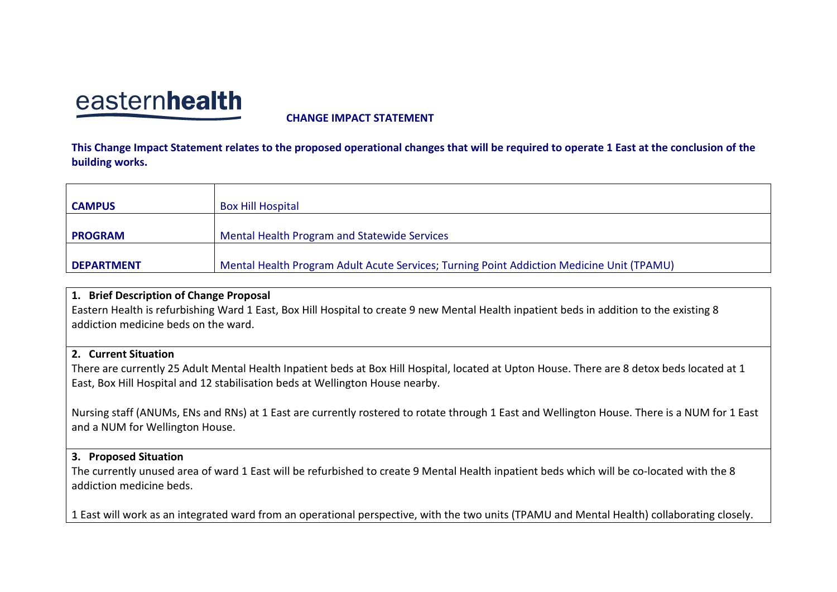## easternhealth

**CHANGE IMPACT STATEMENT**

**This Change Impact Statement relates to the proposed operational changes that will be required to operate 1 East at the conclusion of the building works.** 

| <b>CAMPUS</b>     | <b>Box Hill Hospital</b>                                                                  |
|-------------------|-------------------------------------------------------------------------------------------|
| <b>PROGRAM</b>    | Mental Health Program and Statewide Services                                              |
| <b>DEPARTMENT</b> | Mental Health Program Adult Acute Services; Turning Point Addiction Medicine Unit (TPAMU) |

## **1. Brief Description of Change Proposal**

Eastern Health is refurbishing Ward 1 East, Box Hill Hospital to create 9 new Mental Health inpatient beds in addition to the existing 8 addiction medicine beds on the ward.

## **2. Current Situation**

There are currently 25 Adult Mental Health Inpatient beds at Box Hill Hospital, located at Upton House. There are 8 detox beds located at 1 East, Box Hill Hospital and 12 stabilisation beds at Wellington House nearby.

Nursing staff (ANUMs, ENs and RNs) at 1 East are currently rostered to rotate through 1 East and Wellington House. There is a NUM for 1 East and a NUM for Wellington House.

## **3. Proposed Situation**

The currently unused area of ward 1 East will be refurbished to create 9 Mental Health inpatient beds which will be co-located with the 8 addiction medicine beds.

1 East will work as an integrated ward from an operational perspective, with the two units (TPAMU and Mental Health) collaborating closely.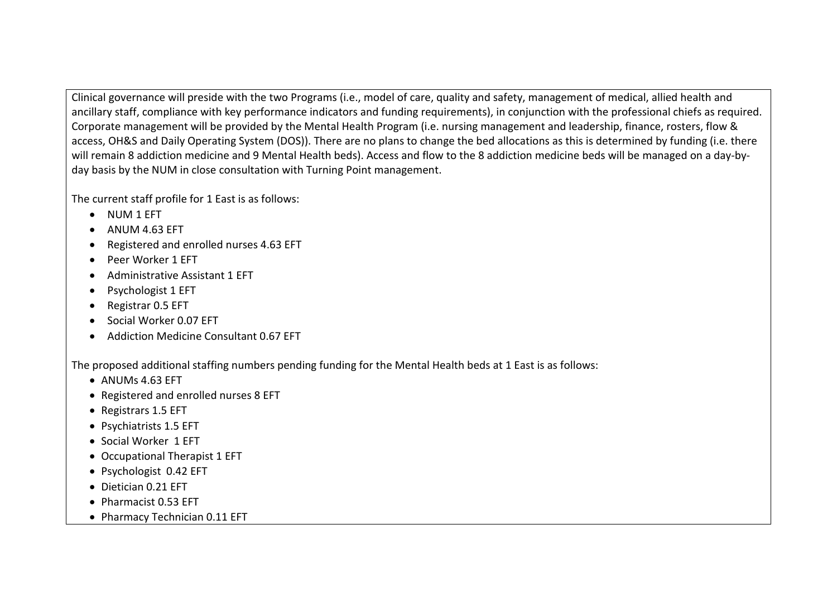Clinical governance will preside with the two Programs (i.e., model of care, quality and safety, management of medical, allied health and ancillary staff, compliance with key performance indicators and funding requirements), in conjunction with the professional chiefs as required. Corporate management will be provided by the Mental Health Program (i.e. nursing management and leadership, finance, rosters, flow & access, OH&S and Daily Operating System (DOS)). There are no plans to change the bed allocations as this is determined by funding (i.e. there will remain 8 addiction medicine and 9 Mental Health beds). Access and flow to the 8 addiction medicine beds will be managed on a day-byday basis by the NUM in close consultation with Turning Point management.

The current staff profile for 1 East is as follows:

- NUM 1 EFT
- ANUM 4.63 EFT
- Registered and enrolled nurses 4.63 EFT
- Peer Worker 1 EFT
- Administrative Assistant 1 EFT
- Psychologist 1 EFT
- Registrar 0.5 EFT
- Social Worker 0.07 EFT
- Addiction Medicine Consultant 0.67 EFT

The proposed additional staffing numbers pending funding for the Mental Health beds at 1 East is as follows:

- ANUMs 4.63 EFT
- Registered and enrolled nurses 8 EFT
- Registrars 1.5 EFT
- Psychiatrists 1.5 EFT
- Social Worker 1 EFT
- Occupational Therapist 1 EFT
- Psychologist 0.42 EFT
- Dietician 0.21 EFT
- Pharmacist 0.53 EFT
- Pharmacy Technician 0.11 EFT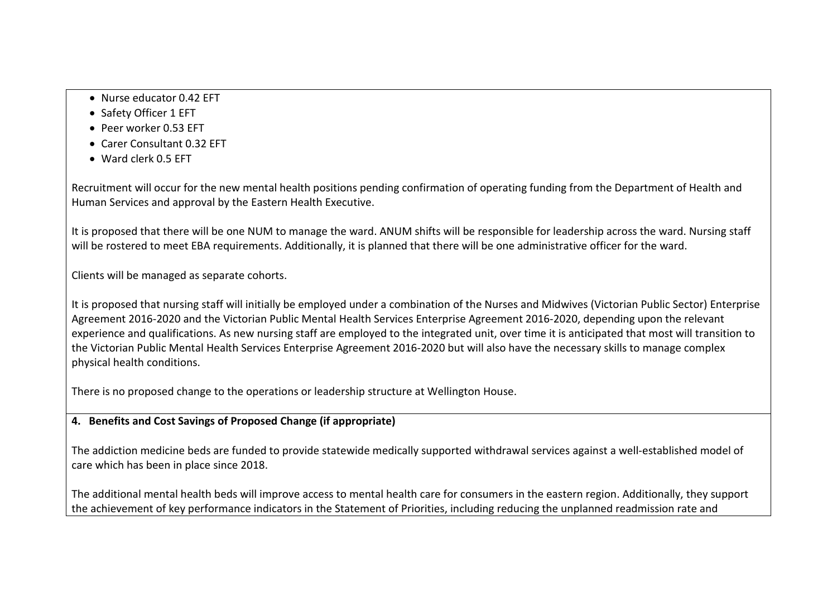- Nurse educator 0.42 EFT
- Safety Officer 1 EFT
- Peer worker 0.53 EFT
- Carer Consultant 0.32 EFT
- Ward clerk 0.5 EFT

Recruitment will occur for the new mental health positions pending confirmation of operating funding from the Department of Health and Human Services and approval by the Eastern Health Executive.

It is proposed that there will be one NUM to manage the ward. ANUM shifts will be responsible for leadership across the ward. Nursing staff will be rostered to meet EBA requirements. Additionally, it is planned that there will be one administrative officer for the ward.

Clients will be managed as separate cohorts.

It is proposed that nursing staff will initially be employed under a combination of the Nurses and Midwives (Victorian Public Sector) Enterprise Agreement 2016-2020 and the Victorian Public Mental Health Services Enterprise Agreement 2016-2020, depending upon the relevant experience and qualifications. As new nursing staff are employed to the integrated unit, over time it is anticipated that most will transition to the Victorian Public Mental Health Services Enterprise Agreement 2016-2020 but will also have the necessary skills to manage complex physical health conditions.

There is no proposed change to the operations or leadership structure at Wellington House.

## **4. Benefits and Cost Savings of Proposed Change (if appropriate)**

The addiction medicine beds are funded to provide statewide medically supported withdrawal services against a well-established model of care which has been in place since 2018.

The additional mental health beds will improve access to mental health care for consumers in the eastern region. Additionally, they support the achievement of key performance indicators in the Statement of Priorities, including reducing the unplanned readmission rate and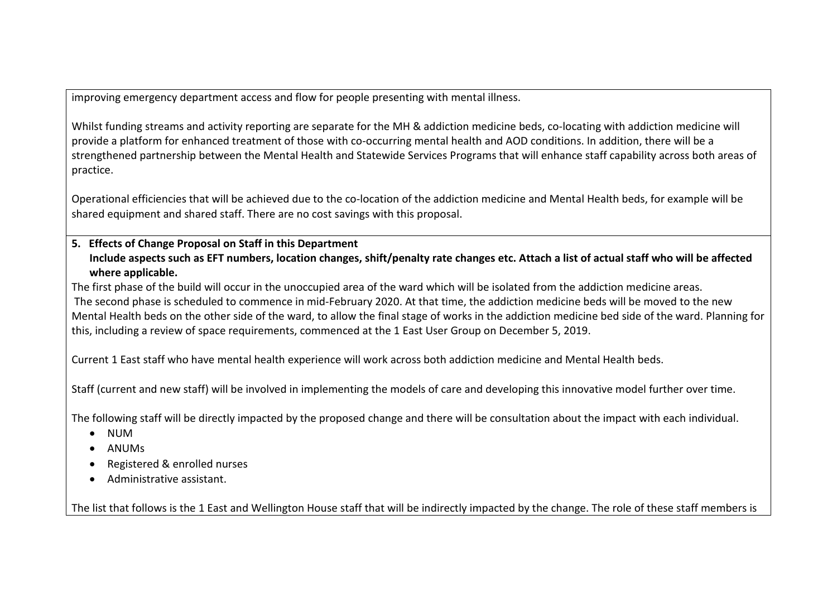improving emergency department access and flow for people presenting with mental illness.

Whilst funding streams and activity reporting are separate for the MH & addiction medicine beds, co-locating with addiction medicine will provide a platform for enhanced treatment of those with co-occurring mental health and AOD conditions. In addition, there will be a strengthened partnership between the Mental Health and Statewide Services Programs that will enhance staff capability across both areas of practice.

Operational efficiencies that will be achieved due to the co-location of the addiction medicine and Mental Health beds, for example will be shared equipment and shared staff. There are no cost savings with this proposal.

## **5. Effects of Change Proposal on Staff in this Department Include aspects such as EFT numbers, location changes, shift/penalty rate changes etc. Attach a list of actual staff who will be affected where applicable.**

The first phase of the build will occur in the unoccupied area of the ward which will be isolated from the addiction medicine areas. The second phase is scheduled to commence in mid-February 2020. At that time, the addiction medicine beds will be moved to the new Mental Health beds on the other side of the ward, to allow the final stage of works in the addiction medicine bed side of the ward. Planning for this, including a review of space requirements, commenced at the 1 East User Group on December 5, 2019.

Current 1 East staff who have mental health experience will work across both addiction medicine and Mental Health beds.

Staff (current and new staff) will be involved in implementing the models of care and developing this innovative model further over time.

The following staff will be directly impacted by the proposed change and there will be consultation about the impact with each individual.

- NUM
- ANUMs
- Registered & enrolled nurses
- Administrative assistant.

The list that follows is the 1 East and Wellington House staff that will be indirectly impacted by the change. The role of these staff members is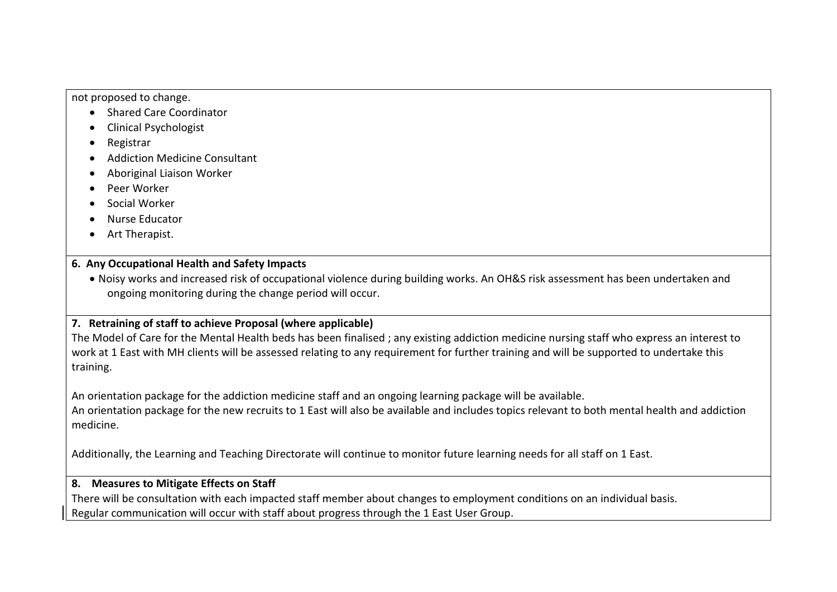not proposed to change.

- Shared Care Coordinator
- Clinical Psychologist
- Registrar
- Addiction Medicine Consultant
- Aboriginal Liaison Worker
- Peer Worker
- Social Worker
- Nurse Educator
- Art Therapist.

## **6. Any Occupational Health and Safety Impacts**

• Noisy works and increased risk of occupational violence during building works. An OH&S risk assessment has been undertaken and ongoing monitoring during the change period will occur.

## **7. Retraining of staff to achieve Proposal (where applicable)**

The Model of Care for the Mental Health beds has been finalised ; any existing addiction medicine nursing staff who express an interest to work at 1 East with MH clients will be assessed relating to any requirement for further training and will be supported to undertake this training.

An orientation package for the addiction medicine staff and an ongoing learning package will be available.

An orientation package for the new recruits to 1 East will also be available and includes topics relevant to both mental health and addiction medicine.

Additionally, the Learning and Teaching Directorate will continue to monitor future learning needs for all staff on 1 East.

## **8. Measures to Mitigate Effects on Staff**

There will be consultation with each impacted staff member about changes to employment conditions on an individual basis. Regular communication will occur with staff about progress through the 1 East User Group.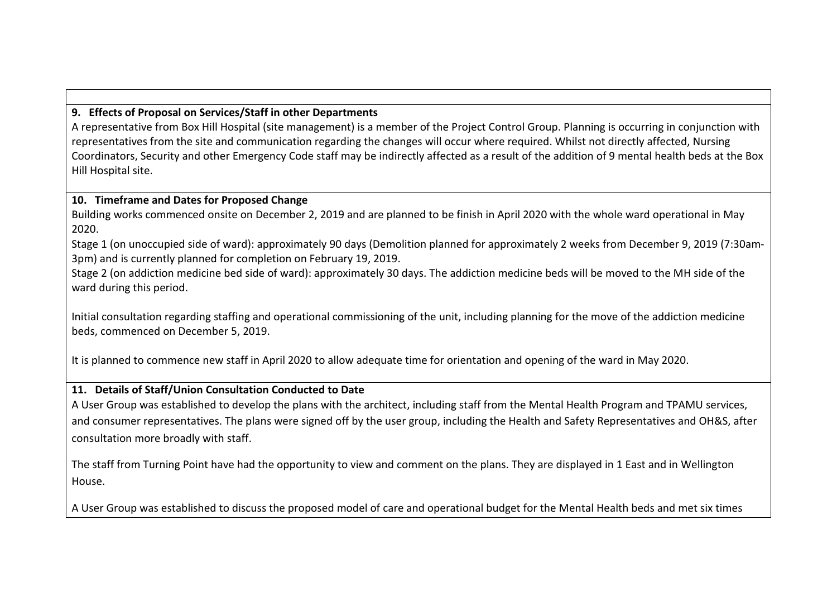## **9. Effects of Proposal on Services/Staff in other Departments**

A representative from Box Hill Hospital (site management) is a member of the Project Control Group. Planning is occurring in conjunction with representatives from the site and communication regarding the changes will occur where required. Whilst not directly affected, Nursing Coordinators, Security and other Emergency Code staff may be indirectly affected as a result of the addition of 9 mental health beds at the Box Hill Hospital site.

### **10. Timeframe and Dates for Proposed Change**

Building works commenced onsite on December 2, 2019 and are planned to be finish in April 2020 with the whole ward operational in May 2020.

Stage 1 (on unoccupied side of ward): approximately 90 days (Demolition planned for approximately 2 weeks from December 9, 2019 (7:30am-3pm) and is currently planned for completion on February 19, 2019.

Stage 2 (on addiction medicine bed side of ward): approximately 30 days. The addiction medicine beds will be moved to the MH side of the ward during this period.

Initial consultation regarding staffing and operational commissioning of the unit, including planning for the move of the addiction medicine beds, commenced on December 5, 2019.

It is planned to commence new staff in April 2020 to allow adequate time for orientation and opening of the ward in May 2020.

## **11. Details of Staff/Union Consultation Conducted to Date**

A User Group was established to develop the plans with the architect, including staff from the Mental Health Program and TPAMU services, and consumer representatives. The plans were signed off by the user group, including the Health and Safety Representatives and OH&S, after consultation more broadly with staff.

The staff from Turning Point have had the opportunity to view and comment on the plans. They are displayed in 1 East and in Wellington House.

A User Group was established to discuss the proposed model of care and operational budget for the Mental Health beds and met six times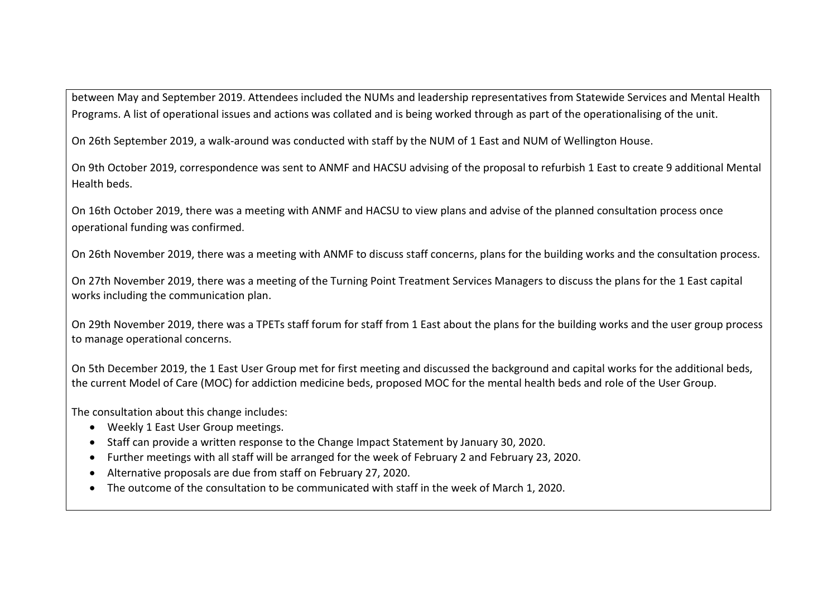between May and September 2019. Attendees included the NUMs and leadership representatives from Statewide Services and Mental Health Programs. A list of operational issues and actions was collated and is being worked through as part of the operationalising of the unit.

On 26th September 2019, a walk-around was conducted with staff by the NUM of 1 East and NUM of Wellington House.

On 9th October 2019, correspondence was sent to ANMF and HACSU advising of the proposal to refurbish 1 East to create 9 additional Mental Health beds.

On 16th October 2019, there was a meeting with ANMF and HACSU to view plans and advise of the planned consultation process once operational funding was confirmed.

On 26th November 2019, there was a meeting with ANMF to discuss staff concerns, plans for the building works and the consultation process.

On 27th November 2019, there was a meeting of the Turning Point Treatment Services Managers to discuss the plans for the 1 East capital works including the communication plan.

On 29th November 2019, there was a TPETs staff forum for staff from 1 East about the plans for the building works and the user group process to manage operational concerns.

On 5th December 2019, the 1 East User Group met for first meeting and discussed the background and capital works for the additional beds, the current Model of Care (MOC) for addiction medicine beds, proposed MOC for the mental health beds and role of the User Group.

The consultation about this change includes:

- Weekly 1 East User Group meetings.
- Staff can provide a written response to the Change Impact Statement by January 30, 2020.
- Further meetings with all staff will be arranged for the week of February 2 and February 23, 2020.
- Alternative proposals are due from staff on February 27, 2020.
- The outcome of the consultation to be communicated with staff in the week of March 1, 2020.